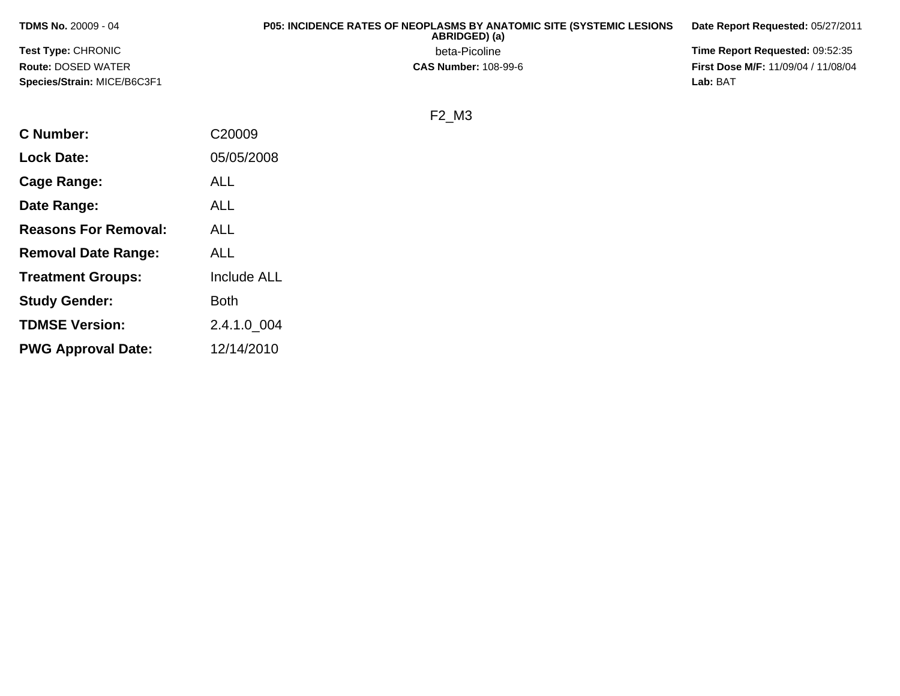| <b>TDMS No. 20009 - 04</b>  | <b>P05: INCIDENCE RATES OF NEOPLASMS BY ANATOMIC SITE (SYSTEMIC LESIONS)</b><br>ABRIDGED) (a) | Date Report Requested: 05/27/2011          |
|-----------------------------|-----------------------------------------------------------------------------------------------|--------------------------------------------|
| <b>Test Type: CHRONIC</b>   | beta-Picoline                                                                                 | <b>Time Report Requested: 09:52:35</b>     |
| <b>Route: DOSED WATER</b>   | <b>CAS Number: 108-99-6</b>                                                                   | <b>First Dose M/F: 11/09/04 / 11/08/04</b> |
| Species/Strain: MICE/B6C3F1 |                                                                                               | Lab: BAT                                   |

## F2\_M3

| <b>C</b> Number:            | C20009             |
|-----------------------------|--------------------|
| <b>Lock Date:</b>           | 05/05/2008         |
| Cage Range:                 | ALL                |
| Date Range:                 | ALL                |
| <b>Reasons For Removal:</b> | ALL                |
| <b>Removal Date Range:</b>  | ALL                |
| <b>Treatment Groups:</b>    | <b>Include ALL</b> |
| <b>Study Gender:</b>        | <b>Both</b>        |
| <b>TDMSE Version:</b>       | 2.4.1.0 004        |
| <b>PWG Approval Date:</b>   | 12/14/2010         |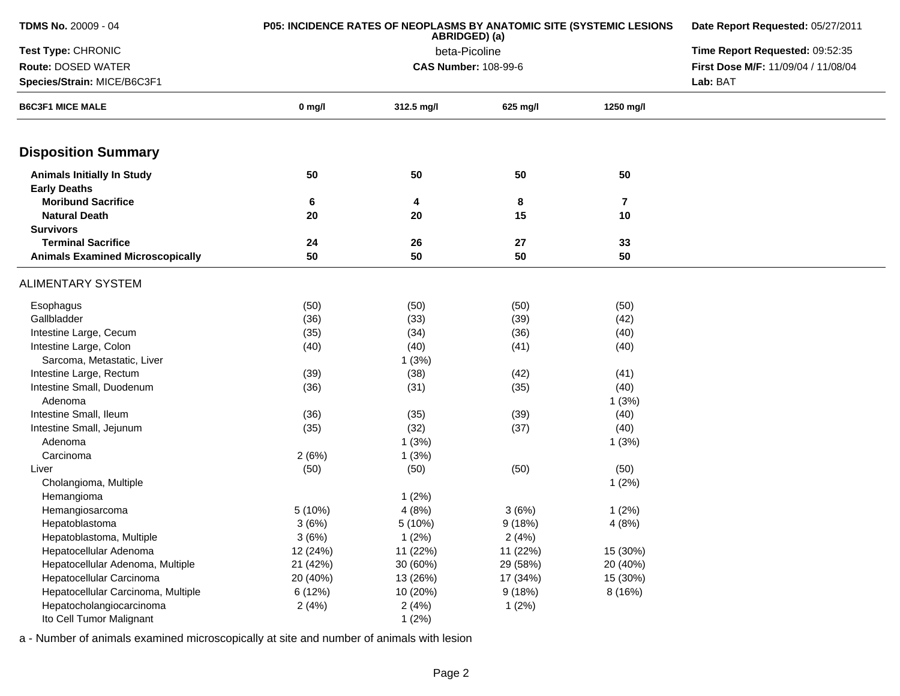| <b>TDMS No. 20009 - 04</b>                               | <b>P05: INCIDENCE RATES OF NEOPLASMS BY ANATOMIC SITE (SYSTEMIC LESIONS</b> | Date Report Requested: 05/27/2011 |                             |                |                                     |  |
|----------------------------------------------------------|-----------------------------------------------------------------------------|-----------------------------------|-----------------------------|----------------|-------------------------------------|--|
| Test Type: CHRONIC                                       |                                                                             |                                   | beta-Picoline               |                | Time Report Requested: 09:52:35     |  |
| <b>Route: DOSED WATER</b>                                |                                                                             |                                   | <b>CAS Number: 108-99-6</b> |                | First Dose M/F: 11/09/04 / 11/08/04 |  |
| Species/Strain: MICE/B6C3F1                              |                                                                             |                                   |                             |                |                                     |  |
| <b>B6C3F1 MICE MALE</b>                                  | $0$ mg/l                                                                    | 312.5 mg/l                        | 625 mg/l                    | 1250 mg/l      |                                     |  |
| <b>Disposition Summary</b>                               |                                                                             |                                   |                             |                |                                     |  |
| <b>Animals Initially In Study</b><br><b>Early Deaths</b> | 50                                                                          | 50                                | 50                          | 50             |                                     |  |
| <b>Moribund Sacrifice</b>                                | 6                                                                           | 4                                 | 8                           | $\overline{7}$ |                                     |  |
| <b>Natural Death</b>                                     | 20                                                                          | 20                                | 15                          | 10             |                                     |  |
| <b>Survivors</b>                                         |                                                                             |                                   |                             |                |                                     |  |
| <b>Terminal Sacrifice</b>                                | 24                                                                          | 26                                | 27                          | 33             |                                     |  |
| <b>Animals Examined Microscopically</b>                  | 50                                                                          | 50                                | 50                          | 50             |                                     |  |
| <b>ALIMENTARY SYSTEM</b>                                 |                                                                             |                                   |                             |                |                                     |  |
| Esophagus                                                | (50)                                                                        | (50)                              | (50)                        | (50)           |                                     |  |
| Gallbladder                                              | (36)                                                                        | (33)                              | (39)                        | (42)           |                                     |  |
| Intestine Large, Cecum                                   | (35)                                                                        | (34)                              | (36)                        | (40)           |                                     |  |
| Intestine Large, Colon                                   | (40)                                                                        | (40)                              | (41)                        | (40)           |                                     |  |
| Sarcoma, Metastatic, Liver                               |                                                                             | 1(3%)                             |                             |                |                                     |  |
| Intestine Large, Rectum                                  | (39)                                                                        | (38)                              | (42)                        | (41)           |                                     |  |
| Intestine Small, Duodenum                                | (36)                                                                        | (31)                              | (35)                        | (40)           |                                     |  |
| Adenoma                                                  |                                                                             |                                   |                             | 1(3%)          |                                     |  |
| Intestine Small, Ileum                                   | (36)                                                                        | (35)                              | (39)                        | (40)           |                                     |  |
| Intestine Small, Jejunum                                 | (35)                                                                        | (32)                              | (37)                        | (40)           |                                     |  |
| Adenoma                                                  |                                                                             | 1(3%)                             |                             | 1(3%)          |                                     |  |
| Carcinoma                                                | 2(6%)                                                                       | 1(3%)                             |                             |                |                                     |  |
| Liver                                                    | (50)                                                                        | (50)                              | (50)                        | (50)           |                                     |  |
| Cholangioma, Multiple                                    |                                                                             |                                   |                             | 1(2%)          |                                     |  |
| Hemangioma                                               |                                                                             | 1(2%)                             |                             |                |                                     |  |
| Hemangiosarcoma                                          | 5 (10%)                                                                     | 4(8%)                             | 3(6%)                       | 1(2%)          |                                     |  |
| Hepatoblastoma                                           | 3(6%)                                                                       | 5(10%)                            | 9(18%)                      | 4(8%)          |                                     |  |
| Hepatoblastoma, Multiple<br>Hepatocellular Adenoma       | 3(6%)<br>12 (24%)                                                           | 1(2%)<br>11 (22%)                 | 2(4%)<br>11 (22%)           | 15 (30%)       |                                     |  |
| Hepatocellular Adenoma, Multiple                         | 21 (42%)                                                                    | 30 (60%)                          | 29 (58%)                    | 20 (40%)       |                                     |  |
| Hepatocellular Carcinoma                                 | 20 (40%)                                                                    | 13 (26%)                          | 17 (34%)                    | 15 (30%)       |                                     |  |
| Hepatocellular Carcinoma, Multiple                       | 6 (12%)                                                                     | 10 (20%)                          | 9(18%)                      | 8(16%)         |                                     |  |
| Hepatocholangiocarcinoma                                 | 2(4%)                                                                       | 2(4%)                             | 1(2%)                       |                |                                     |  |
| Ito Cell Tumor Malignant                                 |                                                                             | 1(2%)                             |                             |                |                                     |  |
|                                                          |                                                                             |                                   |                             |                |                                     |  |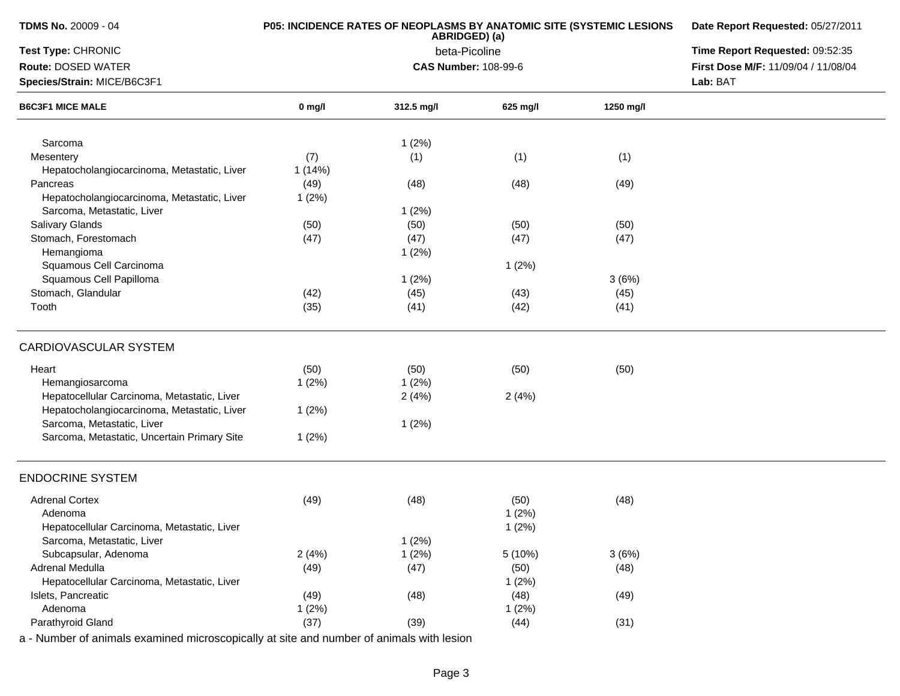| TDMS No. 20009 - 04                                                                      | P05: INCIDENCE RATES OF NEOPLASMS BY ANATOMIC SITE (SYSTEMIC LESIONS | Date Report Requested: 05/27/2011<br>Time Report Requested: 09:52:35 |          |           |                                     |
|------------------------------------------------------------------------------------------|----------------------------------------------------------------------|----------------------------------------------------------------------|----------|-----------|-------------------------------------|
| Test Type: CHRONIC                                                                       |                                                                      |                                                                      |          |           |                                     |
| Route: DOSED WATER                                                                       |                                                                      | <b>CAS Number: 108-99-6</b>                                          |          |           | First Dose M/F: 11/09/04 / 11/08/04 |
| Species/Strain: MICE/B6C3F1                                                              |                                                                      |                                                                      |          |           | Lab: BAT                            |
| <b>B6C3F1 MICE MALE</b>                                                                  | $0$ mg/l                                                             | 312.5 mg/l                                                           | 625 mg/l | 1250 mg/l |                                     |
| Sarcoma                                                                                  |                                                                      | 1(2%)                                                                |          |           |                                     |
| Mesentery                                                                                | (7)                                                                  | (1)                                                                  | (1)      | (1)       |                                     |
| Hepatocholangiocarcinoma, Metastatic, Liver                                              | 1(14%)                                                               |                                                                      |          |           |                                     |
| Pancreas                                                                                 | (49)                                                                 | (48)                                                                 | (48)     | (49)      |                                     |
| Hepatocholangiocarcinoma, Metastatic, Liver                                              | 1(2%)                                                                |                                                                      |          |           |                                     |
| Sarcoma, Metastatic, Liver                                                               |                                                                      | 1(2%)                                                                |          |           |                                     |
| <b>Salivary Glands</b>                                                                   | (50)                                                                 | (50)                                                                 | (50)     | (50)      |                                     |
| Stomach, Forestomach                                                                     | (47)                                                                 | (47)                                                                 | (47)     | (47)      |                                     |
| Hemangioma                                                                               |                                                                      | 1(2%)                                                                |          |           |                                     |
| Squamous Cell Carcinoma                                                                  |                                                                      |                                                                      | 1(2%)    |           |                                     |
| Squamous Cell Papilloma                                                                  |                                                                      | 1(2%)                                                                |          | 3(6%)     |                                     |
| Stomach, Glandular                                                                       | (42)                                                                 | (45)                                                                 | (43)     | (45)      |                                     |
| Tooth                                                                                    | (35)                                                                 | (41)                                                                 | (42)     | (41)      |                                     |
| <b>CARDIOVASCULAR SYSTEM</b>                                                             |                                                                      |                                                                      |          |           |                                     |
| Heart                                                                                    | (50)                                                                 | (50)                                                                 | (50)     | (50)      |                                     |
| Hemangiosarcoma                                                                          | 1(2%)                                                                | 1(2%)                                                                |          |           |                                     |
| Hepatocellular Carcinoma, Metastatic, Liver                                              |                                                                      | 2(4%)                                                                | 2(4%)    |           |                                     |
| Hepatocholangiocarcinoma, Metastatic, Liver                                              | 1(2%)                                                                |                                                                      |          |           |                                     |
| Sarcoma, Metastatic, Liver                                                               |                                                                      | 1(2%)                                                                |          |           |                                     |
| Sarcoma, Metastatic, Uncertain Primary Site                                              | 1(2%)                                                                |                                                                      |          |           |                                     |
| <b>ENDOCRINE SYSTEM</b>                                                                  |                                                                      |                                                                      |          |           |                                     |
| <b>Adrenal Cortex</b>                                                                    | (49)                                                                 | (48)                                                                 | (50)     | (48)      |                                     |
| Adenoma                                                                                  |                                                                      |                                                                      | 1(2%)    |           |                                     |
| Hepatocellular Carcinoma, Metastatic, Liver                                              |                                                                      |                                                                      | 1(2%)    |           |                                     |
| Sarcoma, Metastatic, Liver                                                               |                                                                      | 1(2%)                                                                |          |           |                                     |
| Subcapsular, Adenoma                                                                     | 2(4%)                                                                | 1(2%)                                                                | 5 (10%)  | 3(6%)     |                                     |
| Adrenal Medulla                                                                          | (49)                                                                 | (47)                                                                 | (50)     | (48)      |                                     |
| Hepatocellular Carcinoma, Metastatic, Liver                                              |                                                                      |                                                                      | 1(2%)    |           |                                     |
| Islets, Pancreatic                                                                       | (49)                                                                 | (48)                                                                 | (48)     | (49)      |                                     |
| Adenoma                                                                                  | 1(2%)                                                                |                                                                      | 1(2%)    |           |                                     |
| Parathyroid Gland                                                                        | (37)                                                                 | (39)                                                                 | (44)     | (31)      |                                     |
| a - Number of animals examined microscopically at site and number of animals with lesion |                                                                      |                                                                      |          |           |                                     |

Page 3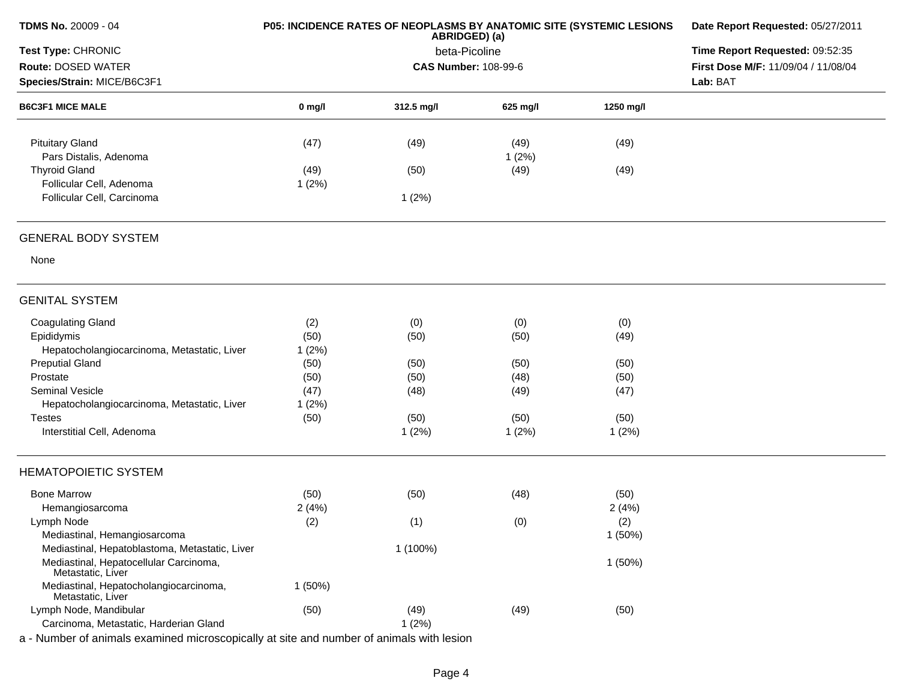| TDMS No. 20009 - 04                                         |               | P05: INCIDENCE RATES OF NEOPLASMS BY ANATOMIC SITE (SYSTEMIC LESIONS<br>ABRIDGED) (a) | Date Report Requested: 05/27/2011 |           |                                     |
|-------------------------------------------------------------|---------------|---------------------------------------------------------------------------------------|-----------------------------------|-----------|-------------------------------------|
| Test Type: CHRONIC                                          |               | beta-Picoline                                                                         |                                   |           | Time Report Requested: 09:52:35     |
| Route: DOSED WATER                                          |               | <b>CAS Number: 108-99-6</b>                                                           |                                   |           | First Dose M/F: 11/09/04 / 11/08/04 |
| Species/Strain: MICE/B6C3F1                                 |               |                                                                                       |                                   |           | Lab: BAT                            |
| <b>B6C3F1 MICE MALE</b>                                     | $0$ mg/l      | 312.5 mg/l                                                                            | 625 mg/l                          | 1250 mg/l |                                     |
| <b>Pituitary Gland</b><br>Pars Distalis, Adenoma            | (47)          | (49)                                                                                  | (49)<br>1(2%)                     | (49)      |                                     |
| <b>Thyroid Gland</b><br>Follicular Cell, Adenoma            | (49)<br>1(2%) | (50)                                                                                  | (49)                              | (49)      |                                     |
| Follicular Cell, Carcinoma                                  |               | 1(2%)                                                                                 |                                   |           |                                     |
| <b>GENERAL BODY SYSTEM</b>                                  |               |                                                                                       |                                   |           |                                     |
| None                                                        |               |                                                                                       |                                   |           |                                     |
| <b>GENITAL SYSTEM</b>                                       |               |                                                                                       |                                   |           |                                     |
| <b>Coagulating Gland</b>                                    | (2)           | (0)                                                                                   | (0)                               | (0)       |                                     |
| Epididymis                                                  | (50)          | (50)                                                                                  | (50)                              | (49)      |                                     |
| Hepatocholangiocarcinoma, Metastatic, Liver                 | 1(2%)         |                                                                                       |                                   |           |                                     |
| <b>Preputial Gland</b>                                      | (50)          | (50)                                                                                  | (50)                              | (50)      |                                     |
| Prostate                                                    | (50)          | (50)                                                                                  | (48)                              | (50)      |                                     |
| <b>Seminal Vesicle</b>                                      | (47)          | (48)                                                                                  | (49)                              | (47)      |                                     |
| Hepatocholangiocarcinoma, Metastatic, Liver                 | 1(2%)         |                                                                                       |                                   |           |                                     |
| <b>Testes</b>                                               | (50)          | (50)                                                                                  | (50)                              | (50)      |                                     |
| Interstitial Cell, Adenoma                                  |               | 1(2%)                                                                                 | 1(2%)                             | 1(2%)     |                                     |
| <b>HEMATOPOIETIC SYSTEM</b>                                 |               |                                                                                       |                                   |           |                                     |
| <b>Bone Marrow</b>                                          | (50)          | (50)                                                                                  | (48)                              | (50)      |                                     |
| Hemangiosarcoma                                             | 2(4%)         |                                                                                       |                                   | 2(4%)     |                                     |
| Lymph Node                                                  | (2)           | (1)                                                                                   | (0)                               | (2)       |                                     |
| Mediastinal, Hemangiosarcoma                                |               |                                                                                       |                                   | 1(50%)    |                                     |
| Mediastinal, Hepatoblastoma, Metastatic, Liver              |               | 1 (100%)                                                                              |                                   |           |                                     |
| Mediastinal, Hepatocellular Carcinoma,<br>Metastatic, Liver |               |                                                                                       |                                   | 1(50%)    |                                     |
| Mediastinal, Hepatocholangiocarcinoma,<br>Metastatic, Liver | 1(50%)        |                                                                                       |                                   |           |                                     |
| Lymph Node, Mandibular                                      | (50)          | (49)                                                                                  | (49)                              | (50)      |                                     |
| Carcinoma, Metastatic, Harderian Gland                      |               | 1(2%)                                                                                 |                                   |           |                                     |
|                                                             |               |                                                                                       |                                   |           |                                     |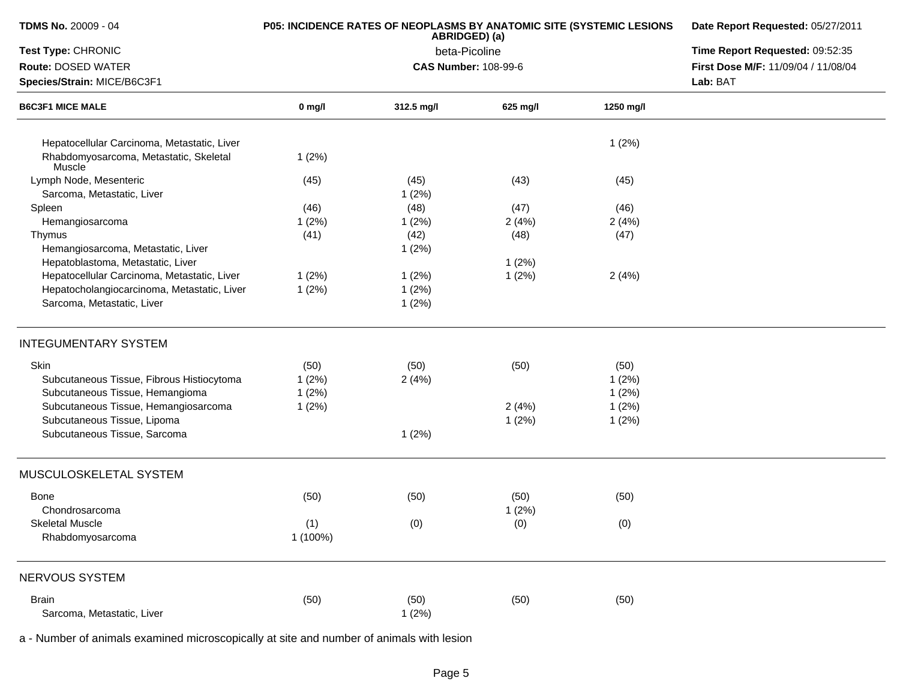| TDMS No. 20009 - 04                                     |          | P05: INCIDENCE RATES OF NEOPLASMS BY ANATOMIC SITE (SYSTEMIC LESIONS<br>ABRIDGED) (a) | Date Report Requested: 05/27/2011<br>Time Report Requested: 09:52:35 |           |                                     |
|---------------------------------------------------------|----------|---------------------------------------------------------------------------------------|----------------------------------------------------------------------|-----------|-------------------------------------|
| Test Type: CHRONIC                                      |          | beta-Picoline                                                                         |                                                                      |           |                                     |
| Route: DOSED WATER                                      |          | <b>CAS Number: 108-99-6</b>                                                           |                                                                      |           | First Dose M/F: 11/09/04 / 11/08/04 |
| Species/Strain: MICE/B6C3F1                             |          |                                                                                       |                                                                      |           | Lab: BAT                            |
| <b>B6C3F1 MICE MALE</b>                                 | $0$ mg/l | 312.5 mg/l                                                                            | 625 mg/l                                                             | 1250 mg/l |                                     |
| Hepatocellular Carcinoma, Metastatic, Liver             |          |                                                                                       |                                                                      | 1(2%)     |                                     |
| Rhabdomyosarcoma, Metastatic, Skeletal<br><b>Muscle</b> | 1(2%)    |                                                                                       |                                                                      |           |                                     |
| Lymph Node, Mesenteric                                  | (45)     | (45)                                                                                  | (43)                                                                 | (45)      |                                     |
| Sarcoma, Metastatic, Liver                              |          | 1(2%)                                                                                 |                                                                      |           |                                     |
| Spleen                                                  | (46)     | (48)                                                                                  | (47)                                                                 | (46)      |                                     |
| Hemangiosarcoma                                         | 1(2%)    | 1(2%)                                                                                 | 2(4%)                                                                | 2(4%)     |                                     |
| Thymus                                                  | (41)     | (42)                                                                                  | (48)                                                                 | (47)      |                                     |
| Hemangiosarcoma, Metastatic, Liver                      |          | 1(2%)                                                                                 |                                                                      |           |                                     |
| Hepatoblastoma, Metastatic, Liver                       |          |                                                                                       | 1(2%)                                                                |           |                                     |
| Hepatocellular Carcinoma, Metastatic, Liver             | 1(2%)    | 1(2%)                                                                                 | 1(2%)                                                                | 2(4%)     |                                     |
| Hepatocholangiocarcinoma, Metastatic, Liver             | 1(2%)    | 1(2%)                                                                                 |                                                                      |           |                                     |
| Sarcoma, Metastatic, Liver                              |          | 1(2%)                                                                                 |                                                                      |           |                                     |
| <b>INTEGUMENTARY SYSTEM</b>                             |          |                                                                                       |                                                                      |           |                                     |
| Skin                                                    | (50)     | (50)                                                                                  | (50)                                                                 | (50)      |                                     |
| Subcutaneous Tissue, Fibrous Histiocytoma               | 1(2%)    | 2(4%)                                                                                 |                                                                      | 1(2%)     |                                     |
| Subcutaneous Tissue, Hemangioma                         | 1(2%)    |                                                                                       |                                                                      | 1(2%)     |                                     |
| Subcutaneous Tissue, Hemangiosarcoma                    | 1(2%)    |                                                                                       | 2(4%)                                                                | 1(2%)     |                                     |
| Subcutaneous Tissue, Lipoma                             |          |                                                                                       | 1(2%)                                                                | 1(2%)     |                                     |
| Subcutaneous Tissue, Sarcoma                            |          | 1(2%)                                                                                 |                                                                      |           |                                     |
| MUSCULOSKELETAL SYSTEM                                  |          |                                                                                       |                                                                      |           |                                     |
|                                                         |          |                                                                                       |                                                                      |           |                                     |
| Bone                                                    | (50)     | (50)                                                                                  | (50)                                                                 | (50)      |                                     |
| Chondrosarcoma                                          |          |                                                                                       | 1(2%)                                                                |           |                                     |
| <b>Skeletal Muscle</b>                                  | (1)      | (0)                                                                                   | (0)                                                                  | (0)       |                                     |
| Rhabdomyosarcoma                                        | 1 (100%) |                                                                                       |                                                                      |           |                                     |
| NERVOUS SYSTEM                                          |          |                                                                                       |                                                                      |           |                                     |
| <b>Brain</b>                                            | (50)     | (50)                                                                                  | (50)                                                                 | (50)      |                                     |
| Sarcoma, Metastatic, Liver                              |          | 1(2%)                                                                                 |                                                                      |           |                                     |
|                                                         |          |                                                                                       |                                                                      |           |                                     |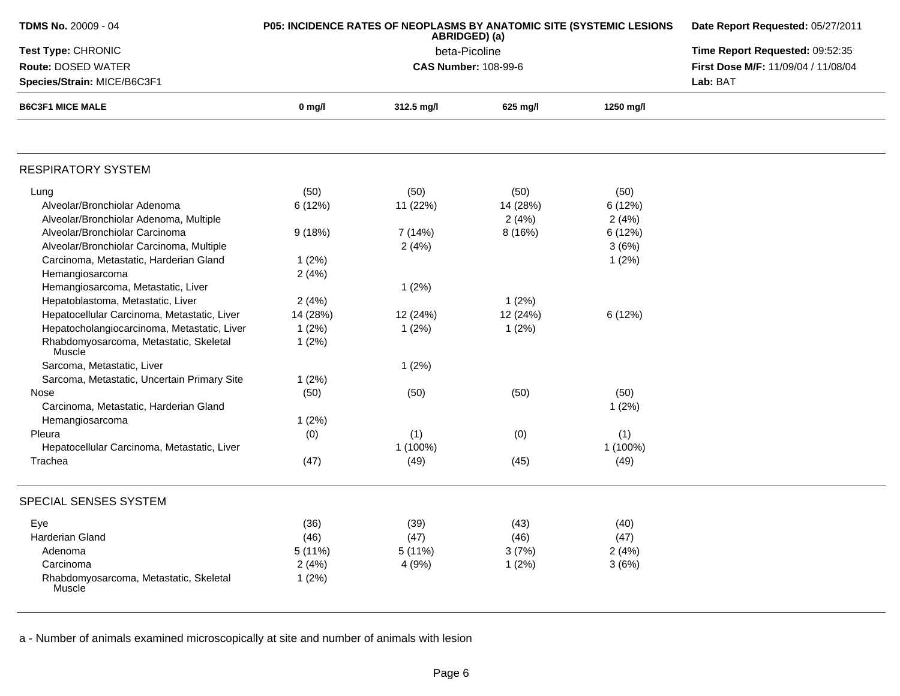| TDMS No. 20009 - 04                                           | P05: INCIDENCE RATES OF NEOPLASMS BY ANATOMIC SITE (SYSTEMIC LESIONS | Date Report Requested: 05/27/2011 |                             |           |                                     |
|---------------------------------------------------------------|----------------------------------------------------------------------|-----------------------------------|-----------------------------|-----------|-------------------------------------|
| Test Type: CHRONIC                                            |                                                                      | Time Report Requested: 09:52:35   |                             |           |                                     |
| Route: DOSED WATER                                            |                                                                      |                                   | <b>CAS Number: 108-99-6</b> |           | First Dose M/F: 11/09/04 / 11/08/04 |
| Species/Strain: MICE/B6C3F1                                   |                                                                      |                                   |                             |           | Lab: BAT                            |
| <b>B6C3F1 MICE MALE</b>                                       | $0$ mg/l                                                             | 312.5 mg/l                        | 625 mg/l                    | 1250 mg/l |                                     |
|                                                               |                                                                      |                                   |                             |           |                                     |
| <b>RESPIRATORY SYSTEM</b>                                     |                                                                      |                                   |                             |           |                                     |
| Lung                                                          | (50)                                                                 | (50)                              | (50)                        | (50)      |                                     |
| Alveolar/Bronchiolar Adenoma                                  | 6 (12%)                                                              | 11 (22%)                          | 14 (28%)                    | 6(12%)    |                                     |
| Alveolar/Bronchiolar Adenoma, Multiple                        |                                                                      |                                   | 2(4%)                       | 2(4%)     |                                     |
| Alveolar/Bronchiolar Carcinoma                                | 9(18%)                                                               | 7 (14%)                           | 8 (16%)                     | 6(12%)    |                                     |
| Alveolar/Bronchiolar Carcinoma, Multiple                      |                                                                      | 2(4%)                             |                             | 3(6%)     |                                     |
| Carcinoma, Metastatic, Harderian Gland                        | 1(2%)                                                                |                                   |                             | 1(2%)     |                                     |
| Hemangiosarcoma                                               | 2(4%)                                                                |                                   |                             |           |                                     |
| Hemangiosarcoma, Metastatic, Liver                            |                                                                      | 1(2%)                             |                             |           |                                     |
| Hepatoblastoma, Metastatic, Liver                             | 2(4%)                                                                |                                   | 1(2%)                       |           |                                     |
| Hepatocellular Carcinoma, Metastatic, Liver                   | 14 (28%)                                                             | 12 (24%)                          | 12 (24%)                    | 6 (12%)   |                                     |
| Hepatocholangiocarcinoma, Metastatic, Liver                   | 1(2%)                                                                | 1(2%)                             | 1(2%)                       |           |                                     |
| Rhabdomyosarcoma, Metastatic, Skeletal<br>Muscle <sup>®</sup> | 1(2%)                                                                |                                   |                             |           |                                     |
| Sarcoma, Metastatic, Liver                                    |                                                                      | 1(2%)                             |                             |           |                                     |
| Sarcoma, Metastatic, Uncertain Primary Site                   | 1(2%)                                                                |                                   |                             |           |                                     |
| Nose                                                          | (50)                                                                 | (50)                              | (50)                        | (50)      |                                     |
| Carcinoma, Metastatic, Harderian Gland                        |                                                                      |                                   |                             | 1(2%)     |                                     |
| Hemangiosarcoma                                               | 1(2%)                                                                |                                   |                             |           |                                     |
| Pleura                                                        | (0)                                                                  | (1)                               | (0)                         | (1)       |                                     |
| Hepatocellular Carcinoma, Metastatic, Liver                   |                                                                      | 1 (100%)                          |                             | 1 (100%)  |                                     |
| Trachea                                                       | (47)                                                                 | (49)                              | (45)                        | (49)      |                                     |
| SPECIAL SENSES SYSTEM                                         |                                                                      |                                   |                             |           |                                     |
| Eye                                                           | (36)                                                                 | (39)                              | (43)                        | (40)      |                                     |
| <b>Harderian Gland</b>                                        | (46)                                                                 | (47)                              | (46)                        | (47)      |                                     |
| Adenoma                                                       | 5(11%)                                                               | 5(11%)                            | 3(7%)                       | 2(4%)     |                                     |
| Carcinoma                                                     | 2(4%)                                                                | 4 (9%)                            | 1(2%)                       | 3(6%)     |                                     |
| Rhabdomyosarcoma, Metastatic, Skeletal<br>Muscle              | 1(2%)                                                                |                                   |                             |           |                                     |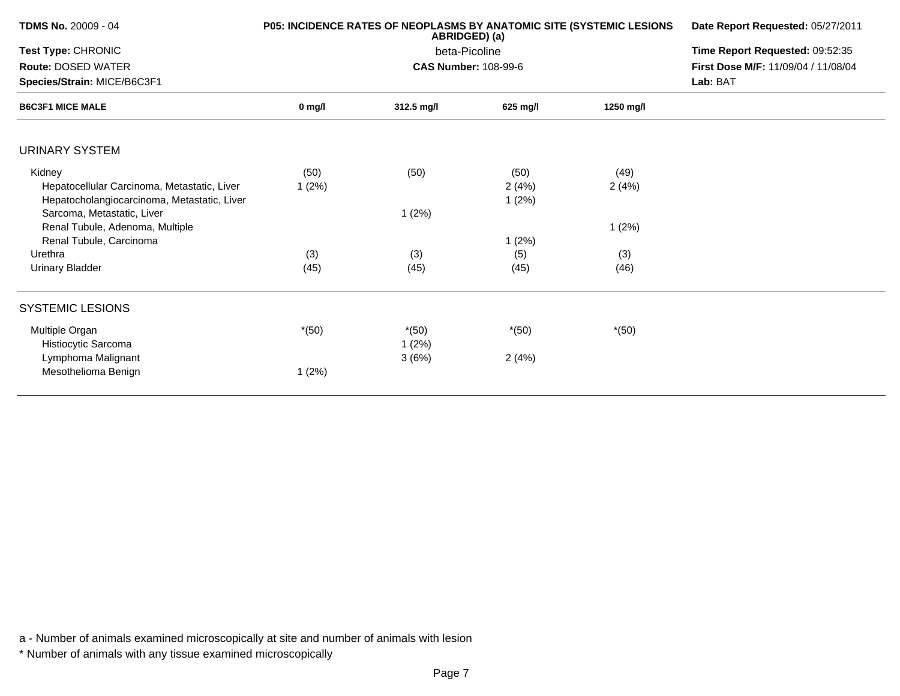| <b>TDMS No.</b> 20009 - 04                                                                           |               | <b>P05: INCIDENCE RATES OF NEOPLASMS BY ANATOMIC SITE (SYSTEMIC LESIONS</b><br>ABRIDGED) (a) | Date Report Requested: 05/27/2011                                                  |               |  |
|------------------------------------------------------------------------------------------------------|---------------|----------------------------------------------------------------------------------------------|------------------------------------------------------------------------------------|---------------|--|
| Test Type: CHRONIC<br>Route: DOSED WATER<br>Species/Strain: MICE/B6C3F1                              |               | beta-Picoline<br><b>CAS Number: 108-99-6</b>                                                 | Time Report Requested: 09:52:35<br>First Dose M/F: 11/09/04 / 11/08/04<br>Lab: BAT |               |  |
| <b>B6C3F1 MICE MALE</b>                                                                              | 0 mg/l        | 312.5 mg/l                                                                                   | 625 mg/l                                                                           | 1250 mg/l     |  |
| <b>URINARY SYSTEM</b>                                                                                |               |                                                                                              |                                                                                    |               |  |
| Kidney<br>Hepatocellular Carcinoma, Metastatic, Liver<br>Hepatocholangiocarcinoma, Metastatic, Liver | (50)<br>1(2%) | (50)                                                                                         | (50)<br>2(4%)<br>1(2%)                                                             | (49)<br>2(4%) |  |
| Sarcoma, Metastatic, Liver<br>Renal Tubule, Adenoma, Multiple<br>Renal Tubule, Carcinoma             |               | 1(2%)                                                                                        | 1(2%)                                                                              | 1(2%)         |  |
| Urethra<br><b>Urinary Bladder</b>                                                                    | (3)<br>(45)   | (3)<br>(45)                                                                                  | (5)<br>(45)                                                                        | (3)<br>(46)   |  |
| <b>SYSTEMIC LESIONS</b>                                                                              |               |                                                                                              |                                                                                    |               |  |
| Multiple Organ<br>Histiocytic Sarcoma                                                                | $*(50)$       | $*(50)$<br>1(2%)                                                                             | $*(50)$                                                                            | $*(50)$       |  |
| Lymphoma Malignant<br>Mesothelioma Benign                                                            | 1(2%)         | 3(6%)                                                                                        | 2(4%)                                                                              |               |  |

\* Number of animals with any tissue examined microscopically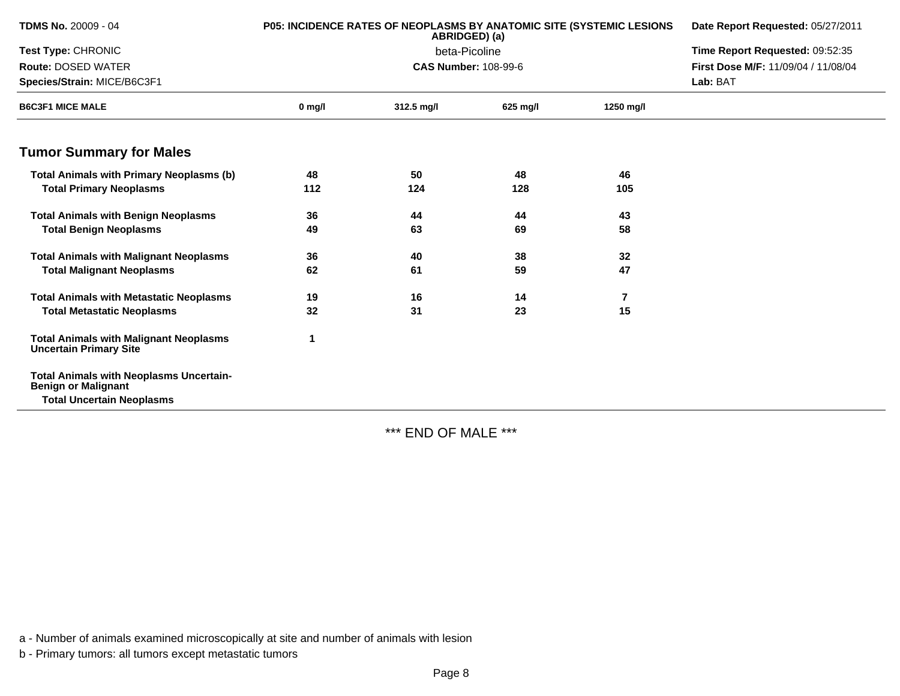| <b>TDMS No. 20009 - 04</b>                                                     |          | <b>P05: INCIDENCE RATES OF NEOPLASMS BY ANATOMIC SITE (SYSTEMIC LESIONS)</b><br>ABRIDGED) (a) | Date Report Requested: 05/27/2011 |                |                                     |
|--------------------------------------------------------------------------------|----------|-----------------------------------------------------------------------------------------------|-----------------------------------|----------------|-------------------------------------|
| Test Type: CHRONIC                                                             |          | beta-Picoline                                                                                 | Time Report Requested: 09:52:35   |                |                                     |
| <b>Route: DOSED WATER</b>                                                      |          | <b>CAS Number: 108-99-6</b>                                                                   |                                   |                | First Dose M/F: 11/09/04 / 11/08/04 |
| Species/Strain: MICE/B6C3F1                                                    |          |                                                                                               |                                   | Lab: BAT       |                                     |
| <b>B6C3F1 MICE MALE</b>                                                        | $0$ mg/l | 312.5 mg/l                                                                                    | 625 mg/l                          | 1250 mg/l      |                                     |
| <b>Tumor Summary for Males</b>                                                 |          |                                                                                               |                                   |                |                                     |
| <b>Total Animals with Primary Neoplasms (b)</b>                                | 48       | 50                                                                                            | 48                                | 46             |                                     |
| <b>Total Primary Neoplasms</b>                                                 | 112      | 124                                                                                           | 128                               | 105            |                                     |
| <b>Total Animals with Benign Neoplasms</b>                                     | 36       | 44                                                                                            | 44                                | 43             |                                     |
| <b>Total Benign Neoplasms</b>                                                  | 49       | 63                                                                                            | 69                                | 58             |                                     |
| <b>Total Animals with Malignant Neoplasms</b>                                  | 36       | 40                                                                                            | 38                                | 32             |                                     |
| <b>Total Malignant Neoplasms</b>                                               | 62       | 61                                                                                            | 59                                | 47             |                                     |
| <b>Total Animals with Metastatic Neoplasms</b>                                 | 19       | 16                                                                                            | 14                                | $\overline{7}$ |                                     |
| <b>Total Metastatic Neoplasms</b>                                              | 32       | 31                                                                                            | 23                                | 15             |                                     |
| <b>Total Animals with Malignant Neoplasms</b><br><b>Uncertain Primary Site</b> |          |                                                                                               |                                   |                |                                     |
| <b>Total Animals with Neoplasms Uncertain-</b><br><b>Benign or Malignant</b>   |          |                                                                                               |                                   |                |                                     |
| <b>Total Uncertain Neoplasms</b>                                               |          |                                                                                               |                                   |                |                                     |

\*\*\* END OF MALE \*\*\*

a - Number of animals examined microscopically at site and number of animals with lesion

b - Primary tumors: all tumors except metastatic tumors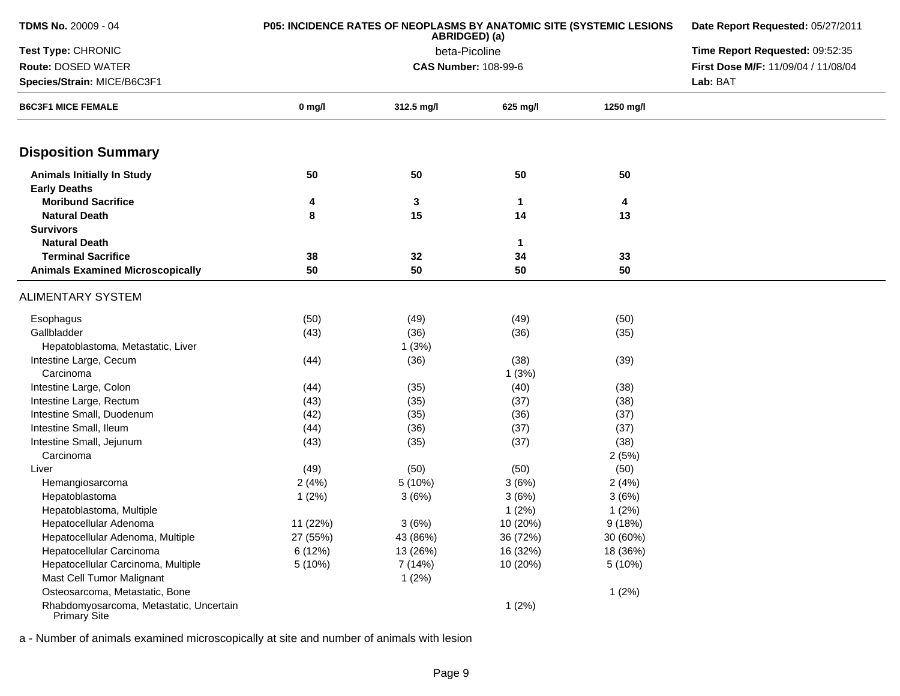| <b>TDMS No. 20009 - 04</b>                              | P05: INCIDENCE RATES OF NEOPLASMS BY ANATOMIC SITE (SYSTEMIC LESIONS | Date Report Requested: 05/27/2011<br>Time Report Requested: 09:52:35 |                             |           |                                     |
|---------------------------------------------------------|----------------------------------------------------------------------|----------------------------------------------------------------------|-----------------------------|-----------|-------------------------------------|
| Test Type: CHRONIC                                      |                                                                      |                                                                      |                             |           |                                     |
| Route: DOSED WATER                                      |                                                                      |                                                                      | <b>CAS Number: 108-99-6</b> |           | First Dose M/F: 11/09/04 / 11/08/04 |
| Species/Strain: MICE/B6C3F1                             |                                                                      |                                                                      |                             | Lab: BAT  |                                     |
| <b>B6C3F1 MICE FEMALE</b>                               | $0$ mg/l                                                             | 312.5 mg/l                                                           | 625 mg/l                    | 1250 mg/l |                                     |
| <b>Disposition Summary</b>                              |                                                                      |                                                                      |                             |           |                                     |
| <b>Animals Initially In Study</b>                       | 50                                                                   | 50                                                                   | 50                          | 50        |                                     |
| <b>Early Deaths</b>                                     |                                                                      |                                                                      |                             |           |                                     |
| <b>Moribund Sacrifice</b>                               | 4                                                                    | 3                                                                    | 1                           | 4         |                                     |
| <b>Natural Death</b>                                    | 8                                                                    | 15                                                                   | 14                          | 13        |                                     |
| <b>Survivors</b>                                        |                                                                      |                                                                      |                             |           |                                     |
| <b>Natural Death</b>                                    |                                                                      |                                                                      | 1                           |           |                                     |
| <b>Terminal Sacrifice</b>                               | 38                                                                   | 32                                                                   | 34                          | 33        |                                     |
| <b>Animals Examined Microscopically</b>                 | 50                                                                   | 50                                                                   | 50                          | 50        |                                     |
| <b>ALIMENTARY SYSTEM</b>                                |                                                                      |                                                                      |                             |           |                                     |
| Esophagus                                               | (50)                                                                 | (49)                                                                 | (49)                        | (50)      |                                     |
| Gallbladder                                             | (43)                                                                 | (36)                                                                 | (36)                        | (35)      |                                     |
| Hepatoblastoma, Metastatic, Liver                       |                                                                      | 1(3%)                                                                |                             |           |                                     |
| Intestine Large, Cecum                                  | (44)                                                                 | (36)                                                                 | (38)                        | (39)      |                                     |
| Carcinoma                                               |                                                                      |                                                                      | 1(3%)                       |           |                                     |
| Intestine Large, Colon                                  | (44)                                                                 | (35)                                                                 | (40)                        | (38)      |                                     |
| Intestine Large, Rectum                                 | (43)                                                                 | (35)                                                                 | (37)                        | (38)      |                                     |
| Intestine Small, Duodenum                               | (42)                                                                 | (35)                                                                 | (36)                        | (37)      |                                     |
| Intestine Small, Ileum                                  | (44)                                                                 | (36)                                                                 | (37)                        | (37)      |                                     |
| Intestine Small, Jejunum                                | (43)                                                                 | (35)                                                                 | (37)                        | (38)      |                                     |
| Carcinoma                                               |                                                                      |                                                                      |                             | 2(5%)     |                                     |
| Liver                                                   | (49)                                                                 | (50)                                                                 | (50)                        | (50)      |                                     |
| Hemangiosarcoma                                         | 2(4%)                                                                | 5 (10%)                                                              | 3(6%)                       | 2(4%)     |                                     |
| Hepatoblastoma                                          | 1(2%)                                                                | 3(6%)                                                                | 3(6%)                       | 3(6%)     |                                     |
| Hepatoblastoma, Multiple                                |                                                                      |                                                                      | 1(2%)                       | 1(2%)     |                                     |
| Hepatocellular Adenoma                                  | 11 (22%)                                                             | 3(6%)                                                                | 10 (20%)                    | 9(18%)    |                                     |
| Hepatocellular Adenoma, Multiple                        | 27 (55%)                                                             | 43 (86%)                                                             | 36 (72%)                    | 30 (60%)  |                                     |
| Hepatocellular Carcinoma                                | 6 (12%)                                                              | 13 (26%)                                                             | 16 (32%)                    | 18 (36%)  |                                     |
| Hepatocellular Carcinoma, Multiple                      | 5 (10%)                                                              | 7 (14%)                                                              | 10 (20%)                    | 5(10%)    |                                     |
| Mast Cell Tumor Malignant                               |                                                                      | 1(2%)                                                                |                             |           |                                     |
| Osteosarcoma, Metastatic, Bone                          |                                                                      |                                                                      |                             | 1(2%)     |                                     |
| Rhabdomyosarcoma, Metastatic, Uncertain<br>Primary Site |                                                                      |                                                                      | 1(2%)                       |           |                                     |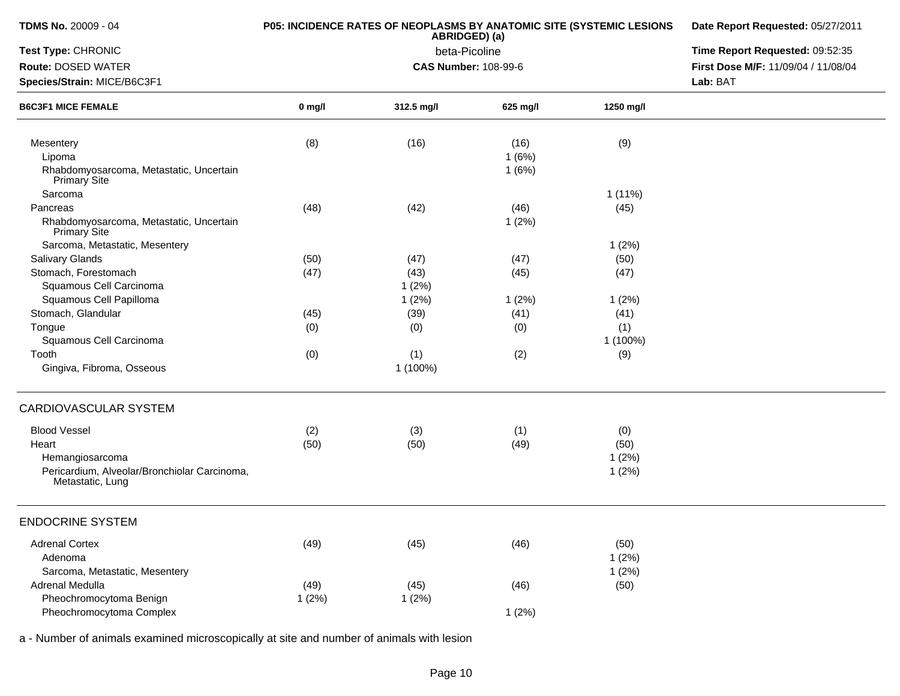| <b>TDMS No. 20009 - 04</b>                                       | P05: INCIDENCE RATES OF NEOPLASMS BY ANATOMIC SITE (SYSTEMIC LESIONS | Date Report Requested: 05/27/2011 |                                 |           |                                     |
|------------------------------------------------------------------|----------------------------------------------------------------------|-----------------------------------|---------------------------------|-----------|-------------------------------------|
| Test Type: CHRONIC                                               |                                                                      | beta-Picoline                     | Time Report Requested: 09:52:35 |           |                                     |
| <b>Route: DOSED WATER</b>                                        |                                                                      | <b>CAS Number: 108-99-6</b>       |                                 |           | First Dose M/F: 11/09/04 / 11/08/04 |
| Species/Strain: MICE/B6C3F1                                      |                                                                      |                                   |                                 |           | Lab: BAT                            |
| <b>B6C3F1 MICE FEMALE</b>                                        | $0$ mg/l                                                             | 312.5 mg/l                        | 625 mg/l                        | 1250 mg/l |                                     |
| Mesentery                                                        | (8)                                                                  | (16)                              | (16)                            | (9)       |                                     |
| Lipoma                                                           |                                                                      |                                   | 1(6%)                           |           |                                     |
| Rhabdomyosarcoma, Metastatic, Uncertain<br>Primary Site          |                                                                      |                                   | 1(6%)                           |           |                                     |
| Sarcoma                                                          |                                                                      |                                   |                                 | $1(11\%)$ |                                     |
| Pancreas                                                         | (48)                                                                 | (42)                              | (46)                            | (45)      |                                     |
| Rhabdomyosarcoma, Metastatic, Uncertain<br>Primary Site          |                                                                      |                                   | 1(2%)                           |           |                                     |
| Sarcoma, Metastatic, Mesentery                                   |                                                                      |                                   |                                 | 1(2%)     |                                     |
| Salivary Glands                                                  | (50)                                                                 | (47)                              | (47)                            | (50)      |                                     |
| Stomach, Forestomach                                             | (47)                                                                 | (43)                              | (45)                            | (47)      |                                     |
| Squamous Cell Carcinoma                                          |                                                                      | 1(2%)                             |                                 |           |                                     |
| Squamous Cell Papilloma                                          |                                                                      | 1(2%)                             | 1(2%)                           | 1(2%)     |                                     |
| Stomach, Glandular                                               | (45)                                                                 | (39)                              | (41)                            | (41)      |                                     |
| Tongue                                                           | (0)                                                                  | (0)                               | (0)                             | (1)       |                                     |
| Squamous Cell Carcinoma                                          |                                                                      |                                   |                                 | 1 (100%)  |                                     |
| Tooth                                                            | (0)                                                                  | (1)                               | (2)                             | (9)       |                                     |
| Gingiva, Fibroma, Osseous                                        |                                                                      | 1 (100%)                          |                                 |           |                                     |
| <b>CARDIOVASCULAR SYSTEM</b>                                     |                                                                      |                                   |                                 |           |                                     |
| <b>Blood Vessel</b>                                              | (2)                                                                  | (3)                               | (1)                             | (0)       |                                     |
| Heart                                                            | (50)                                                                 | (50)                              | (49)                            | (50)      |                                     |
| Hemangiosarcoma                                                  |                                                                      |                                   |                                 | 1(2%)     |                                     |
| Pericardium, Alveolar/Bronchiolar Carcinoma,<br>Metastatic, Lung |                                                                      |                                   |                                 | 1(2%)     |                                     |
| <b>ENDOCRINE SYSTEM</b>                                          |                                                                      |                                   |                                 |           |                                     |
| <b>Adrenal Cortex</b>                                            | (49)                                                                 | (45)                              | (46)                            | (50)      |                                     |
| Adenoma                                                          |                                                                      |                                   |                                 | 1(2%)     |                                     |
| Sarcoma, Metastatic, Mesentery                                   |                                                                      |                                   |                                 | 1(2%)     |                                     |
| Adrenal Medulla                                                  | (49)                                                                 | (45)                              | (46)                            | (50)      |                                     |
| Pheochromocytoma Benign                                          | 1(2%)                                                                | 1(2%)                             |                                 |           |                                     |
| Pheochromocytoma Complex                                         |                                                                      |                                   | 1(2%)                           |           |                                     |
|                                                                  |                                                                      |                                   |                                 |           |                                     |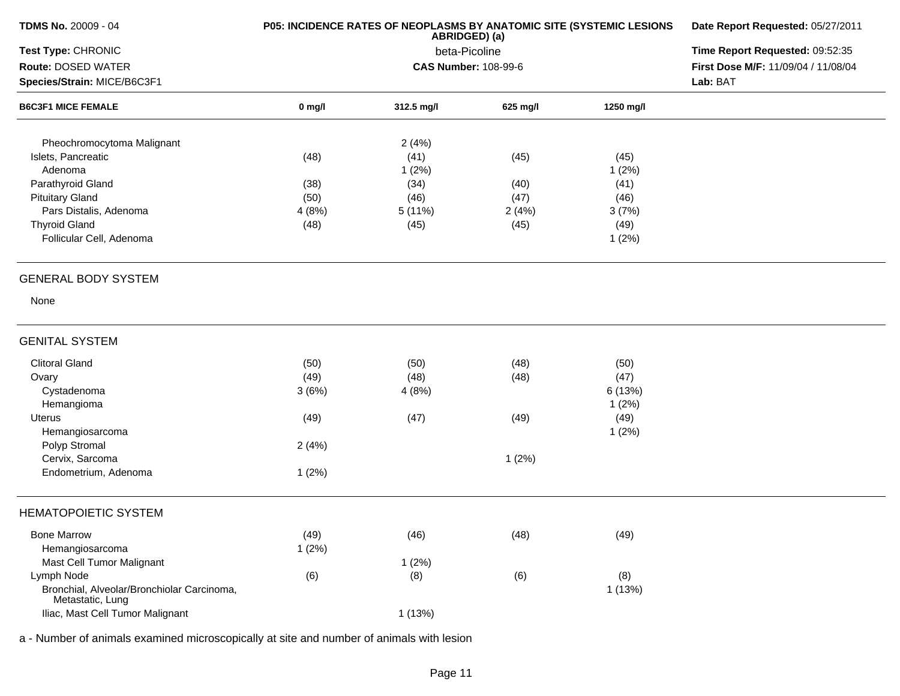| TDMS No. 20009 - 04                                            | P05: INCIDENCE RATES OF NEOPLASMS BY ANATOMIC SITE (SYSTEMIC LESIONS | Date Report Requested: 05/27/2011 |                                 |           |                                     |
|----------------------------------------------------------------|----------------------------------------------------------------------|-----------------------------------|---------------------------------|-----------|-------------------------------------|
| Test Type: CHRONIC                                             |                                                                      | beta-Picoline                     | Time Report Requested: 09:52:35 |           |                                     |
| Route: DOSED WATER                                             |                                                                      | <b>CAS Number: 108-99-6</b>       |                                 |           | First Dose M/F: 11/09/04 / 11/08/04 |
| Species/Strain: MICE/B6C3F1                                    |                                                                      |                                   |                                 |           | Lab: BAT                            |
| <b>B6C3F1 MICE FEMALE</b>                                      | $0$ mg/l                                                             | 312.5 mg/l                        | 625 mg/l                        | 1250 mg/l |                                     |
| Pheochromocytoma Malignant                                     |                                                                      | 2(4%)                             |                                 |           |                                     |
| Islets, Pancreatic                                             | (48)                                                                 | (41)                              | (45)                            | (45)      |                                     |
| Adenoma                                                        |                                                                      | 1(2%)                             |                                 | 1(2%)     |                                     |
| Parathyroid Gland                                              | (38)                                                                 | (34)                              | (40)                            | (41)      |                                     |
| <b>Pituitary Gland</b>                                         | (50)                                                                 | (46)                              | (47)                            | (46)      |                                     |
| Pars Distalis, Adenoma                                         | 4(8%)                                                                | 5 (11%)                           | 2(4%)                           | 3(7%)     |                                     |
| <b>Thyroid Gland</b>                                           | (48)                                                                 | (45)                              | (45)                            | (49)      |                                     |
| Follicular Cell, Adenoma                                       |                                                                      |                                   |                                 | 1(2%)     |                                     |
| <b>GENERAL BODY SYSTEM</b>                                     |                                                                      |                                   |                                 |           |                                     |
| None                                                           |                                                                      |                                   |                                 |           |                                     |
| <b>GENITAL SYSTEM</b>                                          |                                                                      |                                   |                                 |           |                                     |
| <b>Clitoral Gland</b>                                          | (50)                                                                 | (50)                              | (48)                            | (50)      |                                     |
| Ovary                                                          | (49)                                                                 | (48)                              | (48)                            | (47)      |                                     |
| Cystadenoma                                                    | 3(6%)                                                                | 4(8%)                             |                                 | 6 (13%)   |                                     |
| Hemangioma                                                     |                                                                      |                                   |                                 | 1(2%)     |                                     |
| Uterus                                                         | (49)                                                                 | (47)                              | (49)                            | (49)      |                                     |
| Hemangiosarcoma                                                |                                                                      |                                   |                                 | 1(2%)     |                                     |
| Polyp Stromal                                                  | 2(4%)                                                                |                                   |                                 |           |                                     |
| Cervix, Sarcoma                                                |                                                                      |                                   | 1(2%)                           |           |                                     |
| Endometrium, Adenoma                                           | 1(2%)                                                                |                                   |                                 |           |                                     |
| <b>HEMATOPOIETIC SYSTEM</b>                                    |                                                                      |                                   |                                 |           |                                     |
| <b>Bone Marrow</b>                                             | (49)                                                                 | (46)                              | (48)                            | (49)      |                                     |
| Hemangiosarcoma                                                | 1(2%)                                                                |                                   |                                 |           |                                     |
| Mast Cell Tumor Malignant                                      |                                                                      | 1(2%)                             |                                 |           |                                     |
| Lymph Node                                                     | (6)                                                                  | (8)                               | (6)                             | (8)       |                                     |
| Bronchial, Alveolar/Bronchiolar Carcinoma,<br>Metastatic, Lung |                                                                      |                                   |                                 | 1(13%)    |                                     |
| Iliac, Mast Cell Tumor Malignant                               |                                                                      | 1(13%)                            |                                 |           |                                     |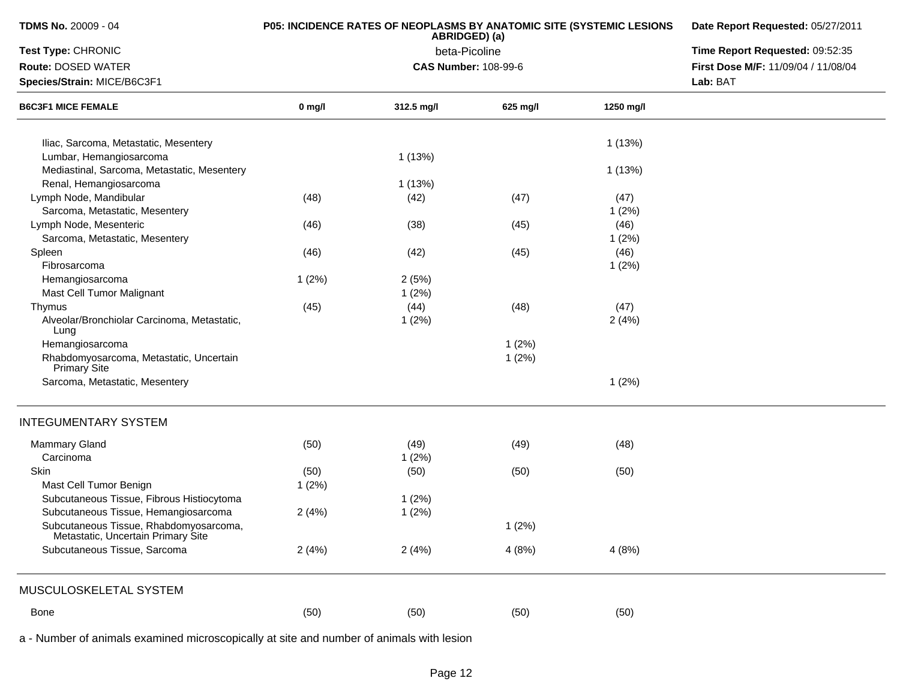| TDMS No. 20009 - 04                                                          |          | P05: INCIDENCE RATES OF NEOPLASMS BY ANATOMIC SITE (SYSTEMIC LESIONS<br>ABRIDGED) (a) | Date Report Requested: 05/27/2011<br>Time Report Requested: 09:52:35 |           |                                     |
|------------------------------------------------------------------------------|----------|---------------------------------------------------------------------------------------|----------------------------------------------------------------------|-----------|-------------------------------------|
| Test Type: CHRONIC                                                           |          | beta-Picoline                                                                         |                                                                      |           |                                     |
| Route: DOSED WATER                                                           |          | <b>CAS Number: 108-99-6</b>                                                           |                                                                      |           | First Dose M/F: 11/09/04 / 11/08/04 |
| Species/Strain: MICE/B6C3F1                                                  |          |                                                                                       | Lab: BAT                                                             |           |                                     |
| <b>B6C3F1 MICE FEMALE</b>                                                    | $0$ mg/l | 312.5 mg/l                                                                            | 625 mg/l                                                             | 1250 mg/l |                                     |
| Iliac, Sarcoma, Metastatic, Mesentery                                        |          |                                                                                       |                                                                      | 1(13%)    |                                     |
| Lumbar, Hemangiosarcoma                                                      |          | 1(13%)                                                                                |                                                                      |           |                                     |
| Mediastinal, Sarcoma, Metastatic, Mesentery                                  |          |                                                                                       |                                                                      | 1(13%)    |                                     |
| Renal, Hemangiosarcoma                                                       |          | 1(13%)                                                                                |                                                                      |           |                                     |
| Lymph Node, Mandibular                                                       | (48)     | (42)                                                                                  | (47)                                                                 | (47)      |                                     |
| Sarcoma, Metastatic, Mesentery                                               |          |                                                                                       |                                                                      | 1(2%)     |                                     |
| Lymph Node, Mesenteric                                                       | (46)     | (38)                                                                                  | (45)                                                                 | (46)      |                                     |
| Sarcoma, Metastatic, Mesentery                                               |          |                                                                                       |                                                                      | 1(2%)     |                                     |
| Spleen                                                                       | (46)     | (42)                                                                                  | (45)                                                                 | (46)      |                                     |
| Fibrosarcoma                                                                 |          |                                                                                       |                                                                      | 1(2%)     |                                     |
| Hemangiosarcoma                                                              | 1(2%)    | 2(5%)                                                                                 |                                                                      |           |                                     |
| Mast Cell Tumor Malignant                                                    |          | 1(2%)                                                                                 |                                                                      |           |                                     |
| Thymus                                                                       | (45)     | (44)                                                                                  | (48)                                                                 | (47)      |                                     |
| Alveolar/Bronchiolar Carcinoma, Metastatic,<br>Lung                          |          | 1(2%)                                                                                 |                                                                      | 2(4%)     |                                     |
| Hemangiosarcoma                                                              |          |                                                                                       | 1(2%)                                                                |           |                                     |
| Rhabdomyosarcoma, Metastatic, Uncertain<br><b>Primary Site</b>               |          |                                                                                       | 1(2%)                                                                |           |                                     |
| Sarcoma, Metastatic, Mesentery                                               |          |                                                                                       |                                                                      | 1(2%)     |                                     |
| <b>INTEGUMENTARY SYSTEM</b>                                                  |          |                                                                                       |                                                                      |           |                                     |
| <b>Mammary Gland</b><br>Carcinoma                                            | (50)     | (49)<br>1(2%)                                                                         | (49)                                                                 | (48)      |                                     |
| Skin                                                                         | (50)     | (50)                                                                                  | (50)                                                                 | (50)      |                                     |
| Mast Cell Tumor Benign                                                       | 1(2%)    |                                                                                       |                                                                      |           |                                     |
| Subcutaneous Tissue, Fibrous Histiocytoma                                    |          | 1(2%)                                                                                 |                                                                      |           |                                     |
| Subcutaneous Tissue, Hemangiosarcoma                                         | 2(4%)    | 1(2%)                                                                                 |                                                                      |           |                                     |
| Subcutaneous Tissue, Rhabdomyosarcoma,<br>Metastatic, Uncertain Primary Site |          |                                                                                       | 1(2%)                                                                |           |                                     |
| Subcutaneous Tissue, Sarcoma                                                 | 2(4%)    | 2(4%)                                                                                 | 4(8%)                                                                | 4(8%)     |                                     |
| MUSCULOSKELETAL SYSTEM                                                       |          |                                                                                       |                                                                      |           |                                     |
| Bone                                                                         | (50)     | (50)                                                                                  | (50)                                                                 | (50)      |                                     |
|                                                                              |          |                                                                                       |                                                                      |           |                                     |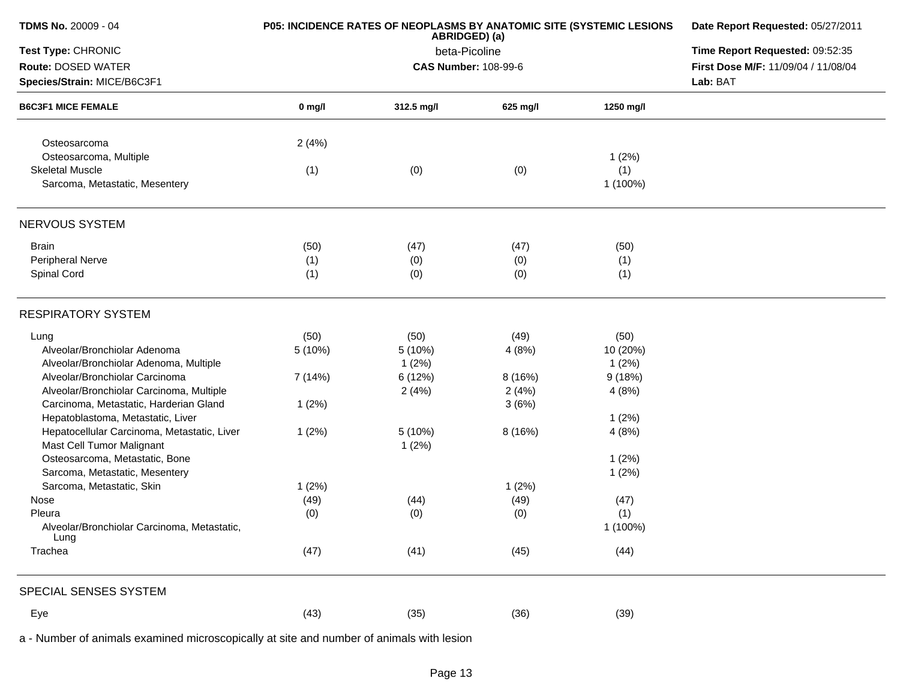| <b>TDMS No. 20009 - 04</b>                               | P05: INCIDENCE RATES OF NEOPLASMS BY ANATOMIC SITE (SYSTEMIC LESIONS | Date Report Requested: 05/27/2011<br>Time Report Requested: 09:52:35 |          |           |                                     |
|----------------------------------------------------------|----------------------------------------------------------------------|----------------------------------------------------------------------|----------|-----------|-------------------------------------|
| Test Type: CHRONIC                                       |                                                                      |                                                                      |          |           |                                     |
| Route: DOSED WATER                                       |                                                                      | <b>CAS Number: 108-99-6</b>                                          |          |           | First Dose M/F: 11/09/04 / 11/08/04 |
| Species/Strain: MICE/B6C3F1<br><b>B6C3F1 MICE FEMALE</b> |                                                                      |                                                                      |          | Lab: BAT  |                                     |
|                                                          | $0$ mg/l                                                             | 312.5 mg/l                                                           | 625 mg/l | 1250 mg/l |                                     |
| Osteosarcoma                                             | 2(4%)                                                                |                                                                      |          |           |                                     |
| Osteosarcoma, Multiple                                   |                                                                      |                                                                      |          | 1(2%)     |                                     |
| <b>Skeletal Muscle</b>                                   | (1)                                                                  | (0)                                                                  | (0)      | (1)       |                                     |
| Sarcoma, Metastatic, Mesentery                           |                                                                      |                                                                      |          | 1 (100%)  |                                     |
| NERVOUS SYSTEM                                           |                                                                      |                                                                      |          |           |                                     |
| <b>Brain</b>                                             | (50)                                                                 | (47)                                                                 | (47)     | (50)      |                                     |
| Peripheral Nerve                                         | (1)                                                                  | (0)                                                                  | (0)      | (1)       |                                     |
| Spinal Cord                                              | (1)                                                                  | (0)                                                                  | (0)      | (1)       |                                     |
| <b>RESPIRATORY SYSTEM</b>                                |                                                                      |                                                                      |          |           |                                     |
| Lung                                                     | (50)                                                                 | (50)                                                                 | (49)     | (50)      |                                     |
| Alveolar/Bronchiolar Adenoma                             | 5 (10%)                                                              | 5(10%)                                                               | 4(8%)    | 10 (20%)  |                                     |
| Alveolar/Bronchiolar Adenoma, Multiple                   |                                                                      | 1(2%)                                                                |          | 1(2%)     |                                     |
| Alveolar/Bronchiolar Carcinoma                           | 7(14%)                                                               | 6(12%)                                                               | 8(16%)   | 9(18%)    |                                     |
| Alveolar/Bronchiolar Carcinoma, Multiple                 |                                                                      | 2(4%)                                                                | 2(4%)    | 4(8%)     |                                     |
| Carcinoma, Metastatic, Harderian Gland                   | 1(2%)                                                                |                                                                      | 3(6%)    |           |                                     |
| Hepatoblastoma, Metastatic, Liver                        |                                                                      |                                                                      |          | 1(2%)     |                                     |
| Hepatocellular Carcinoma, Metastatic, Liver              | 1(2%)                                                                | 5(10%)                                                               | 8(16%)   | 4(8%)     |                                     |
| Mast Cell Tumor Malignant                                |                                                                      | 1(2%)                                                                |          |           |                                     |
| Osteosarcoma, Metastatic, Bone                           |                                                                      |                                                                      |          | 1(2%)     |                                     |
| Sarcoma, Metastatic, Mesentery                           |                                                                      |                                                                      |          | 1(2%)     |                                     |
| Sarcoma, Metastatic, Skin                                | 1(2%)                                                                |                                                                      | 1(2%)    |           |                                     |
| Nose                                                     | (49)                                                                 | (44)                                                                 | (49)     | (47)      |                                     |
| Pleura                                                   | (0)                                                                  | (0)                                                                  | (0)      | (1)       |                                     |
| Alveolar/Bronchiolar Carcinoma, Metastatic,<br>Lung      |                                                                      |                                                                      |          | 1 (100%)  |                                     |
| Trachea                                                  | (47)                                                                 | (41)                                                                 | (45)     | (44)      |                                     |
| SPECIAL SENSES SYSTEM                                    |                                                                      |                                                                      |          |           |                                     |
| Eye                                                      | (43)                                                                 | (35)                                                                 | (36)     | (39)      |                                     |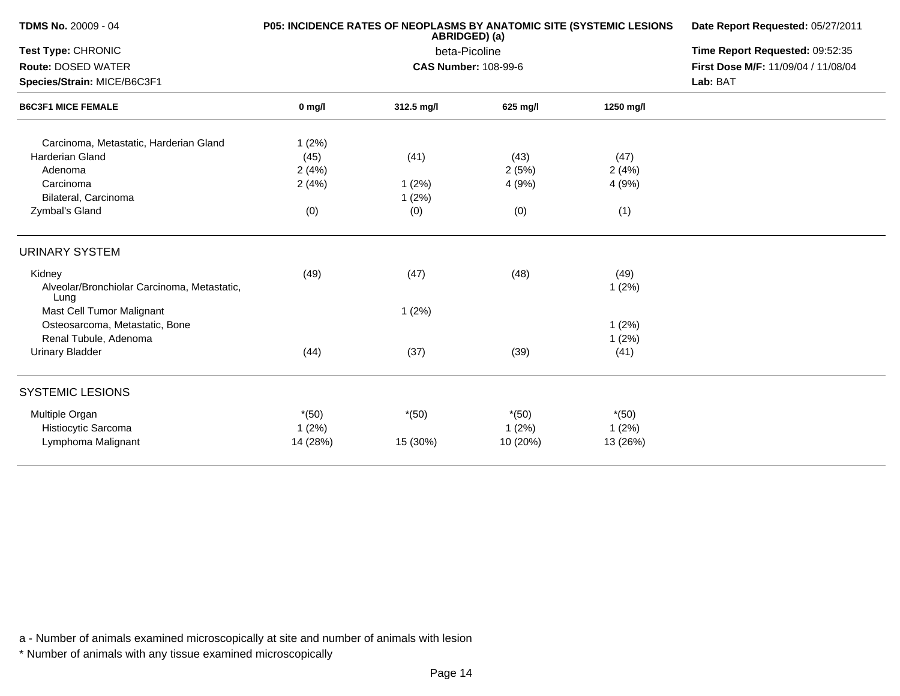|          |                                      | <b>P05: INCIDENCE RATES OF NEOPLASMS BY ANATOMIC SITE (SYSTEMIC LESIONS</b><br>ABRIDGED) (a) |                                                                                      |                                      |  |  |
|----------|--------------------------------------|----------------------------------------------------------------------------------------------|--------------------------------------------------------------------------------------|--------------------------------------|--|--|
|          | Time Report Requested: 09:52:35      |                                                                                              |                                                                                      |                                      |  |  |
|          |                                      |                                                                                              |                                                                                      | First Dose M/F: 11/09/04 / 11/08/04  |  |  |
|          |                                      | Lab: BAT                                                                                     |                                                                                      |                                      |  |  |
| $0$ mg/l | 312.5 mg/l                           | 625 mg/l                                                                                     | 1250 mg/l                                                                            |                                      |  |  |
| 1(2%)    |                                      |                                                                                              |                                                                                      |                                      |  |  |
| (45)     | (41)                                 | (43)                                                                                         | (47)                                                                                 |                                      |  |  |
| 2(4%)    |                                      | 2(5%)                                                                                        | 2(4%)                                                                                |                                      |  |  |
| 2(4%)    | 1(2%)                                | 4 (9%)                                                                                       | 4(9%)                                                                                |                                      |  |  |
|          | 1(2%)                                |                                                                                              |                                                                                      |                                      |  |  |
| (0)      | (0)                                  | (0)                                                                                          | (1)                                                                                  |                                      |  |  |
|          |                                      |                                                                                              |                                                                                      |                                      |  |  |
|          |                                      |                                                                                              |                                                                                      |                                      |  |  |
|          |                                      |                                                                                              | 1(2%)                                                                                |                                      |  |  |
|          | 1(2%)                                |                                                                                              |                                                                                      |                                      |  |  |
|          |                                      |                                                                                              | 1(2%)                                                                                |                                      |  |  |
|          |                                      |                                                                                              | $1(2\%)$                                                                             |                                      |  |  |
| (44)     | (37)                                 | (39)                                                                                         | (41)                                                                                 |                                      |  |  |
|          |                                      |                                                                                              |                                                                                      |                                      |  |  |
|          |                                      |                                                                                              |                                                                                      |                                      |  |  |
|          |                                      |                                                                                              |                                                                                      |                                      |  |  |
|          |                                      |                                                                                              |                                                                                      |                                      |  |  |
|          | (49)<br>$*(50)$<br>1(2%)<br>14 (28%) | (47)<br>$*(50)$<br>15 (30%)                                                                  | beta-Picoline<br><b>CAS Number: 108-99-6</b><br>(48)<br>$*(50)$<br>1(2%)<br>10 (20%) | (49)<br>$*(50)$<br>1(2%)<br>13 (26%) |  |  |

\* Number of animals with any tissue examined microscopically